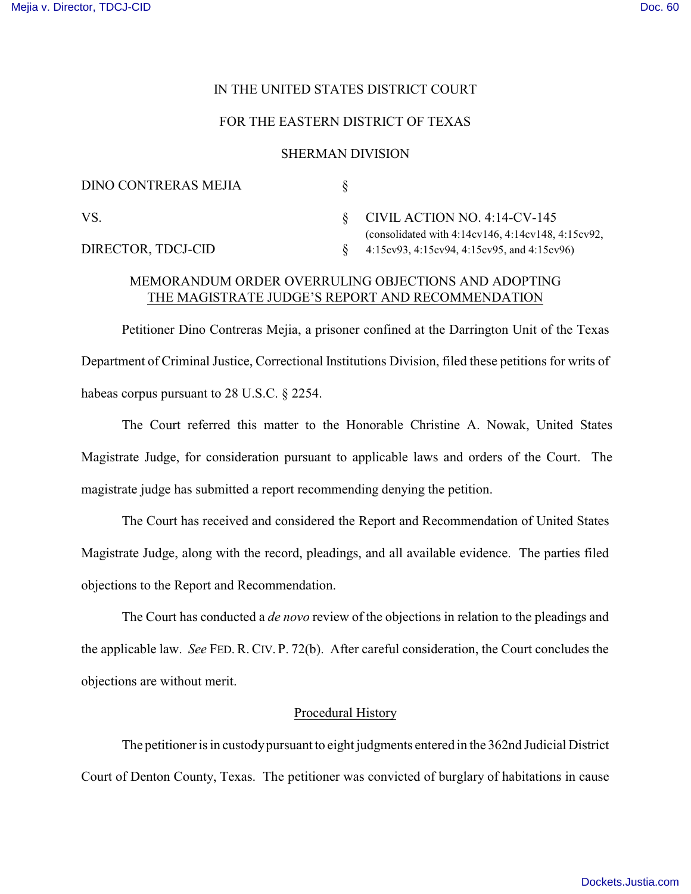# IN THE UNITED STATES DISTRICT COURT

# FOR THE EASTERN DISTRICT OF TEXAS

#### SHERMAN DIVISION

| DINO CONTRERAS MEJIA |                                                                                            |
|----------------------|--------------------------------------------------------------------------------------------|
| VS.                  | $\S$ CIVIL ACTION NO. 4:14-CV-145<br>(consolidated with $4:14cv146, 4:14cv148, 4:15cv92$ , |
| DIRECTOR, TDCJ-CID   | 4:15cv93, 4:15cv94, 4:15cv95, and 4:15cv96)                                                |

# MEMORANDUM ORDER OVERRULING OBJECTIONS AND ADOPTING THE MAGISTRATE JUDGE'S REPORT AND RECOMMENDATION

Petitioner Dino Contreras Mejia, a prisoner confined at the Darrington Unit of the Texas Department of Criminal Justice, Correctional Institutions Division, filed these petitions for writs of habeas corpus pursuant to 28 U.S.C. § 2254.

The Court referred this matter to the Honorable Christine A. Nowak, United States Magistrate Judge, for consideration pursuant to applicable laws and orders of the Court. The magistrate judge has submitted a report recommending denying the petition.

The Court has received and considered the Report and Recommendation of United States Magistrate Judge, along with the record, pleadings, and all available evidence. The parties filed objections to the Report and Recommendation.

The Court has conducted a *de novo* review of the objections in relation to the pleadings and the applicable law. *See* FED. R. CIV. P. 72(b). After careful consideration, the Court concludes the objections are without merit.

### Procedural History

The petitioner is in custody pursuant to eight judgments entered in the 362nd Judicial District Court of Denton County, Texas. The petitioner was convicted of burglary of habitations in cause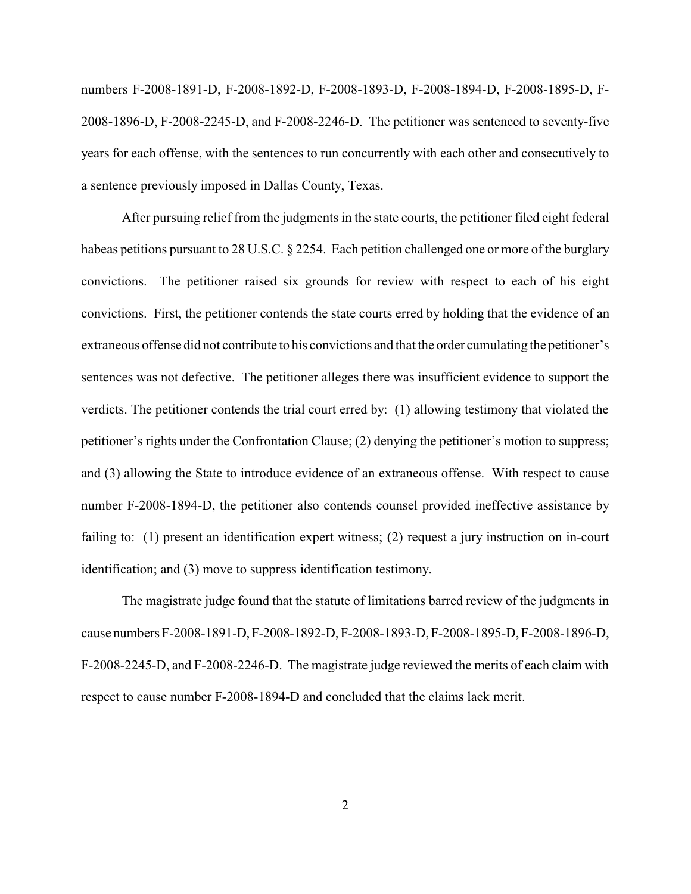numbers F-2008-1891-D, F-2008-1892-D, F-2008-1893-D, F-2008-1894-D, F-2008-1895-D, F-2008-1896-D, F-2008-2245-D, and F-2008-2246-D. The petitioner was sentenced to seventy-five years for each offense, with the sentences to run concurrently with each other and consecutively to a sentence previously imposed in Dallas County, Texas.

After pursuing relief from the judgments in the state courts, the petitioner filed eight federal habeas petitions pursuant to 28 U.S.C. § 2254. Each petition challenged one or more of the burglary convictions. The petitioner raised six grounds for review with respect to each of his eight convictions. First, the petitioner contends the state courts erred by holding that the evidence of an extraneous offense did not contribute to his convictions and that the order cumulating the petitioner's sentences was not defective. The petitioner alleges there was insufficient evidence to support the verdicts. The petitioner contends the trial court erred by: (1) allowing testimony that violated the petitioner's rights under the Confrontation Clause; (2) denying the petitioner's motion to suppress; and (3) allowing the State to introduce evidence of an extraneous offense. With respect to cause number F-2008-1894-D, the petitioner also contends counsel provided ineffective assistance by failing to: (1) present an identification expert witness; (2) request a jury instruction on in-court identification; and (3) move to suppress identification testimony.

The magistrate judge found that the statute of limitations barred review of the judgments in cause numbers F-2008-1891-D, F-2008-1892-D, F-2008-1893-D, F-2008-1895-D, F-2008-1896-D, F-2008-2245-D, and F-2008-2246-D. The magistrate judge reviewed the merits of each claim with respect to cause number F-2008-1894-D and concluded that the claims lack merit.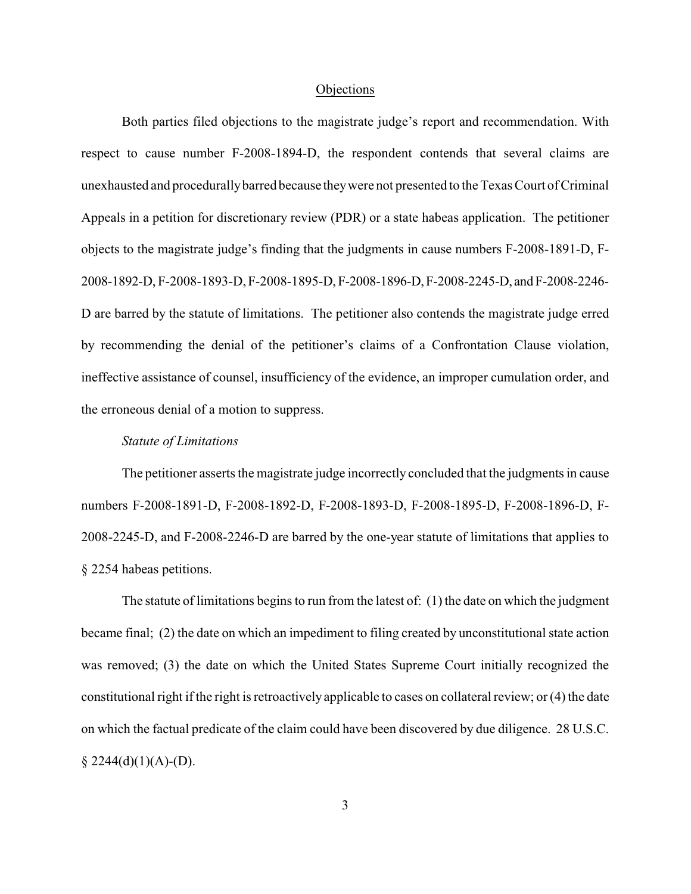#### **Objections**

Both parties filed objections to the magistrate judge's report and recommendation. With respect to cause number F-2008-1894-D, the respondent contends that several claims are unexhausted and procedurallybarred because theywere not presented to the Texas Court of Criminal Appeals in a petition for discretionary review (PDR) or a state habeas application. The petitioner objects to the magistrate judge's finding that the judgments in cause numbers F-2008-1891-D, F-2008-1892-D, F-2008-1893-D, F-2008-1895-D, F-2008-1896-D, F-2008-2245-D, and F-2008-2246- D are barred by the statute of limitations. The petitioner also contends the magistrate judge erred by recommending the denial of the petitioner's claims of a Confrontation Clause violation, ineffective assistance of counsel, insufficiency of the evidence, an improper cumulation order, and the erroneous denial of a motion to suppress.

### *Statute of Limitations*

The petitioner asserts the magistrate judge incorrectly concluded that the judgments in cause numbers F-2008-1891-D, F-2008-1892-D, F-2008-1893-D, F-2008-1895-D, F-2008-1896-D, F-2008-2245-D, and F-2008-2246-D are barred by the one-year statute of limitations that applies to § 2254 habeas petitions.

The statute of limitations begins to run from the latest of: (1) the date on which the judgment became final; (2) the date on which an impediment to filing created by unconstitutional state action was removed; (3) the date on which the United States Supreme Court initially recognized the constitutional right if the right is retroactively applicable to cases on collateral review; or (4) the date on which the factual predicate of the claim could have been discovered by due diligence. 28 U.S.C.  $§$  2244(d)(1)(A)-(D).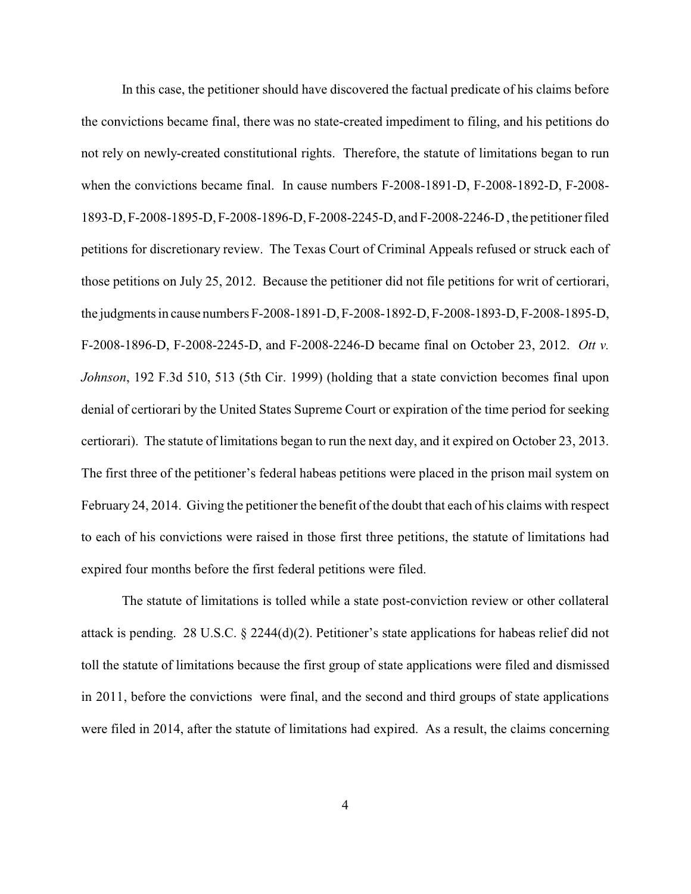In this case, the petitioner should have discovered the factual predicate of his claims before the convictions became final, there was no state-created impediment to filing, and his petitions do not rely on newly-created constitutional rights. Therefore, the statute of limitations began to run when the convictions became final. In cause numbers F-2008-1891-D, F-2008-1892-D, F-2008- 1893-D,F-2008-1895-D, F-2008-1896-D, F-2008-2245-D, and F-2008-2246-D , the petitioner filed petitions for discretionary review. The Texas Court of Criminal Appeals refused or struck each of those petitions on July 25, 2012. Because the petitioner did not file petitions for writ of certiorari, the judgments in cause numbers F-2008-1891-D, F-2008-1892-D, F-2008-1893-D, F-2008-1895-D, F-2008-1896-D, F-2008-2245-D, and F-2008-2246-D became final on October 23, 2012. *Ott v. Johnson*, 192 F.3d 510, 513 (5th Cir. 1999) (holding that a state conviction becomes final upon denial of certiorari by the United States Supreme Court or expiration of the time period for seeking certiorari). The statute of limitations began to run the next day, and it expired on October 23, 2013. The first three of the petitioner's federal habeas petitions were placed in the prison mail system on February 24, 2014. Giving the petitioner the benefit of the doubt that each of his claims with respect to each of his convictions were raised in those first three petitions, the statute of limitations had expired four months before the first federal petitions were filed.

The statute of limitations is tolled while a state post-conviction review or other collateral attack is pending. 28 U.S.C. § 2244(d)(2). Petitioner's state applications for habeas relief did not toll the statute of limitations because the first group of state applications were filed and dismissed in 2011, before the convictions were final, and the second and third groups of state applications were filed in 2014, after the statute of limitations had expired. As a result, the claims concerning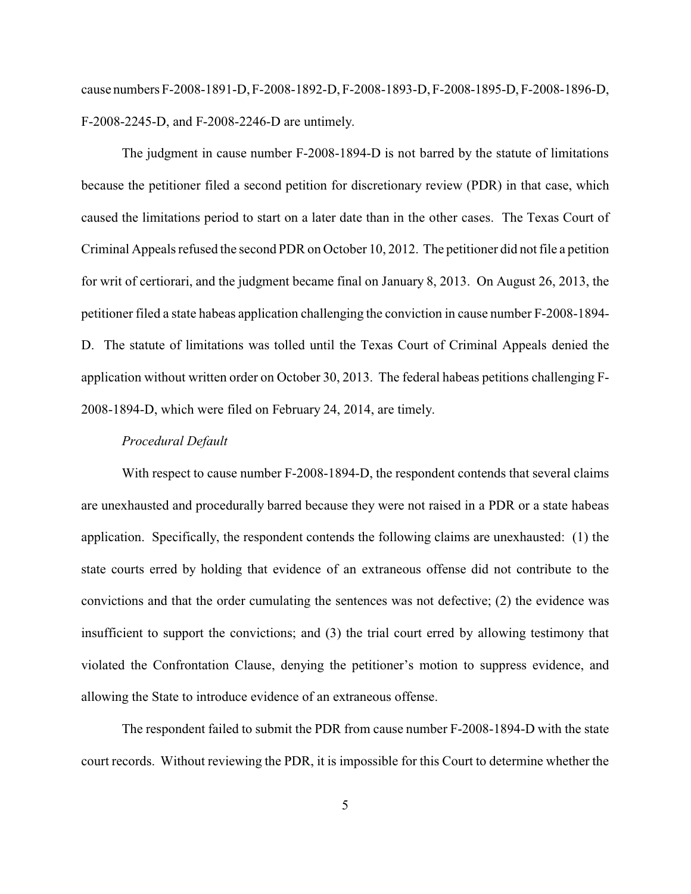cause numbers F-2008-1891-D, F-2008-1892-D, F-2008-1893-D, F-2008-1895-D, F-2008-1896-D, F-2008-2245-D, and F-2008-2246-D are untimely.

The judgment in cause number F-2008-1894-D is not barred by the statute of limitations because the petitioner filed a second petition for discretionary review (PDR) in that case, which caused the limitations period to start on a later date than in the other cases. The Texas Court of Criminal Appeals refused the second PDR on October 10, 2012. The petitioner did not file a petition for writ of certiorari, and the judgment became final on January 8, 2013. On August 26, 2013, the petitioner filed a state habeas application challenging the conviction in cause number F-2008-1894- D. The statute of limitations was tolled until the Texas Court of Criminal Appeals denied the application without written order on October 30, 2013. The federal habeas petitions challenging F-2008-1894-D, which were filed on February 24, 2014, are timely.

### *Procedural Default*

With respect to cause number F-2008-1894-D, the respondent contends that several claims are unexhausted and procedurally barred because they were not raised in a PDR or a state habeas application. Specifically, the respondent contends the following claims are unexhausted: (1) the state courts erred by holding that evidence of an extraneous offense did not contribute to the convictions and that the order cumulating the sentences was not defective; (2) the evidence was insufficient to support the convictions; and (3) the trial court erred by allowing testimony that violated the Confrontation Clause, denying the petitioner's motion to suppress evidence, and allowing the State to introduce evidence of an extraneous offense.

The respondent failed to submit the PDR from cause number F-2008-1894-D with the state court records. Without reviewing the PDR, it is impossible for this Court to determine whether the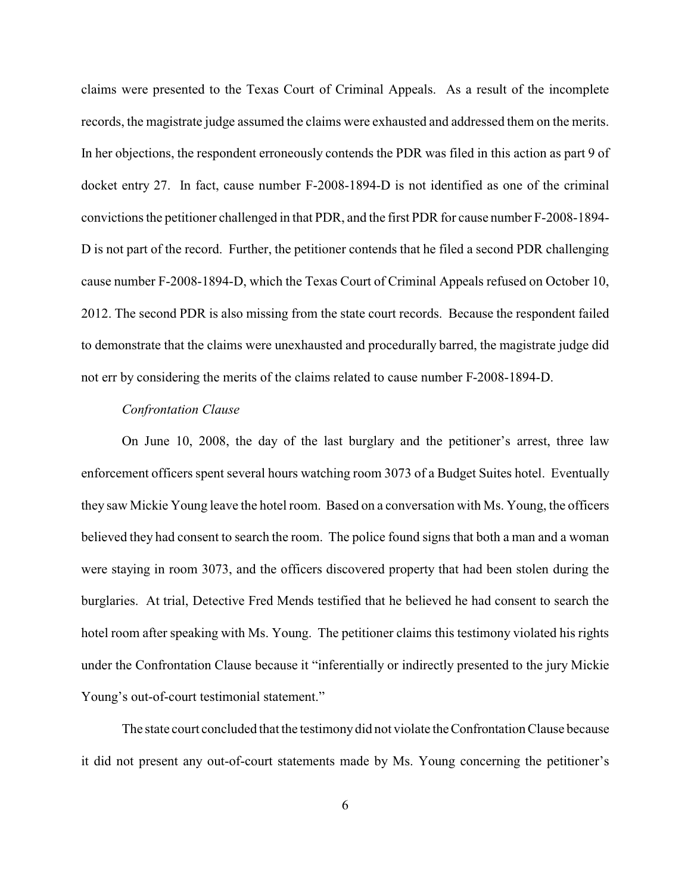claims were presented to the Texas Court of Criminal Appeals. As a result of the incomplete records, the magistrate judge assumed the claims were exhausted and addressed them on the merits. In her objections, the respondent erroneously contends the PDR was filed in this action as part 9 of docket entry 27. In fact, cause number F-2008-1894-D is not identified as one of the criminal convictions the petitioner challenged in that PDR, and the first PDR for cause number F-2008-1894- D is not part of the record. Further, the petitioner contends that he filed a second PDR challenging cause number F-2008-1894-D, which the Texas Court of Criminal Appeals refused on October 10, 2012. The second PDR is also missing from the state court records. Because the respondent failed to demonstrate that the claims were unexhausted and procedurally barred, the magistrate judge did not err by considering the merits of the claims related to cause number F-2008-1894-D.

# *Confrontation Clause*

On June 10, 2008, the day of the last burglary and the petitioner's arrest, three law enforcement officers spent several hours watching room 3073 of a Budget Suites hotel. Eventually they saw Mickie Young leave the hotel room. Based on a conversation with Ms. Young, the officers believed they had consent to search the room. The police found signs that both a man and a woman were staying in room 3073, and the officers discovered property that had been stolen during the burglaries. At trial, Detective Fred Mends testified that he believed he had consent to search the hotel room after speaking with Ms. Young. The petitioner claims this testimony violated his rights under the Confrontation Clause because it "inferentially or indirectly presented to the jury Mickie Young's out-of-court testimonial statement."

The state court concluded that the testimony did not violate the Confrontation Clause because it did not present any out-of-court statements made by Ms. Young concerning the petitioner's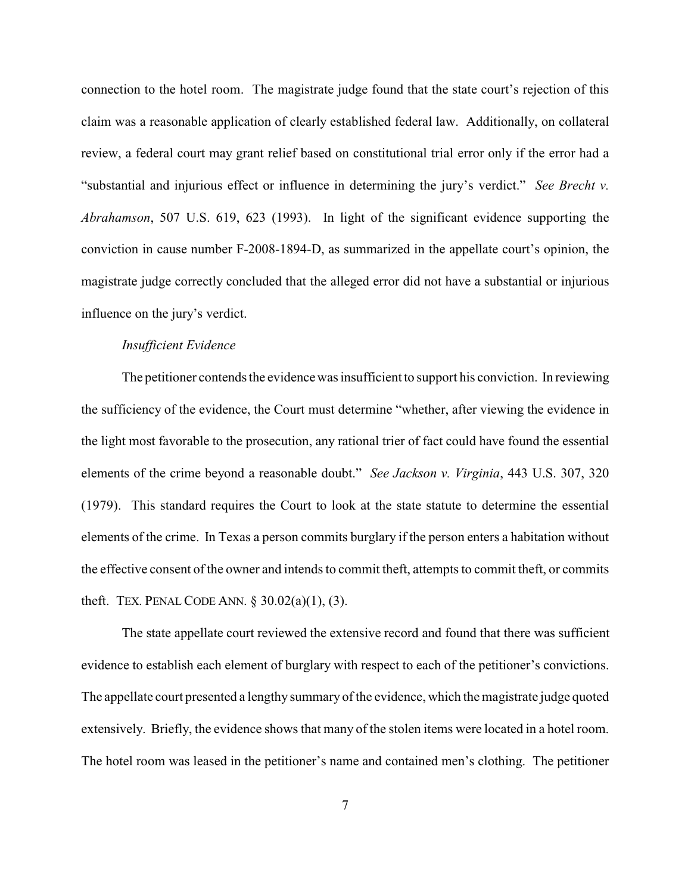connection to the hotel room. The magistrate judge found that the state court's rejection of this claim was a reasonable application of clearly established federal law. Additionally, on collateral review, a federal court may grant relief based on constitutional trial error only if the error had a "substantial and injurious effect or influence in determining the jury's verdict." *See Brecht v. Abrahamson*, 507 U.S. 619, 623 (1993). In light of the significant evidence supporting the conviction in cause number F-2008-1894-D, as summarized in the appellate court's opinion, the magistrate judge correctly concluded that the alleged error did not have a substantial or injurious influence on the jury's verdict.

### *Insufficient Evidence*

The petitioner contends the evidence was insufficient to support his conviction. In reviewing the sufficiency of the evidence, the Court must determine "whether, after viewing the evidence in the light most favorable to the prosecution, any rational trier of fact could have found the essential elements of the crime beyond a reasonable doubt." *See Jackson v. Virginia*, 443 U.S. 307, 320 (1979). This standard requires the Court to look at the state statute to determine the essential elements of the crime. In Texas a person commits burglary if the person enters a habitation without the effective consent of the owner and intends to commit theft, attempts to commit theft, or commits theft. TEX. PENAL CODE ANN. § 30.02(a)(1), (3).

The state appellate court reviewed the extensive record and found that there was sufficient evidence to establish each element of burglary with respect to each of the petitioner's convictions. The appellate court presented a lengthy summary of the evidence, which the magistrate judge quoted extensively. Briefly, the evidence shows that many of the stolen items were located in a hotel room. The hotel room was leased in the petitioner's name and contained men's clothing. The petitioner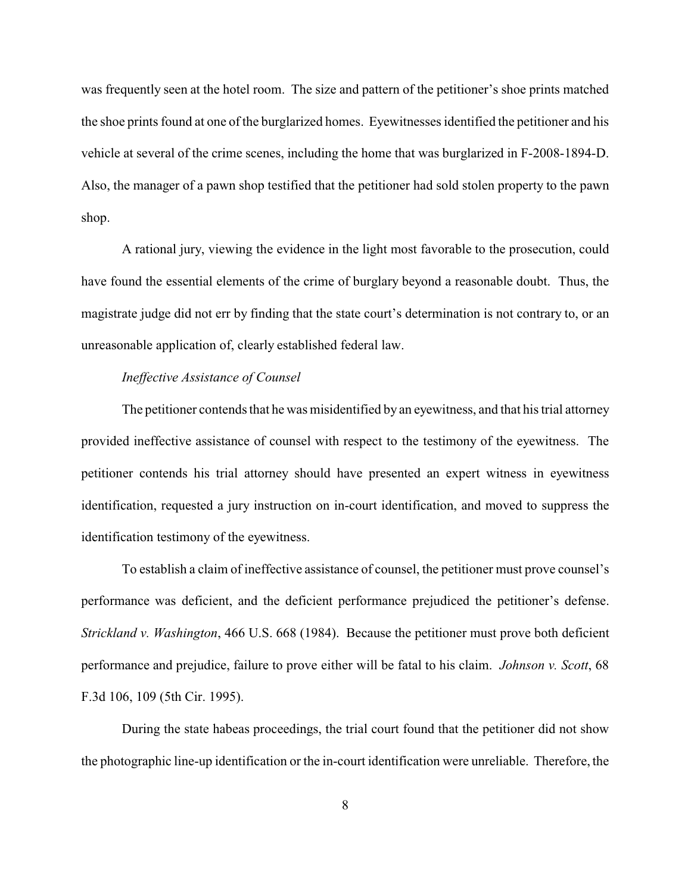was frequently seen at the hotel room. The size and pattern of the petitioner's shoe prints matched the shoe prints found at one of the burglarized homes. Eyewitnesses identified the petitioner and his vehicle at several of the crime scenes, including the home that was burglarized in F-2008-1894-D. Also, the manager of a pawn shop testified that the petitioner had sold stolen property to the pawn shop.

A rational jury, viewing the evidence in the light most favorable to the prosecution, could have found the essential elements of the crime of burglary beyond a reasonable doubt. Thus, the magistrate judge did not err by finding that the state court's determination is not contrary to, or an unreasonable application of, clearly established federal law.

### *Ineffective Assistance of Counsel*

The petitioner contends that he was misidentified by an eyewitness, and that his trial attorney provided ineffective assistance of counsel with respect to the testimony of the eyewitness. The petitioner contends his trial attorney should have presented an expert witness in eyewitness identification, requested a jury instruction on in-court identification, and moved to suppress the identification testimony of the eyewitness.

To establish a claim of ineffective assistance of counsel, the petitioner must prove counsel's performance was deficient, and the deficient performance prejudiced the petitioner's defense. *Strickland v. Washington*, 466 U.S. 668 (1984). Because the petitioner must prove both deficient performance and prejudice, failure to prove either will be fatal to his claim. *Johnson v. Scott*, 68 F.3d 106, 109 (5th Cir. 1995).

During the state habeas proceedings, the trial court found that the petitioner did not show the photographic line-up identification or the in-court identification were unreliable. Therefore, the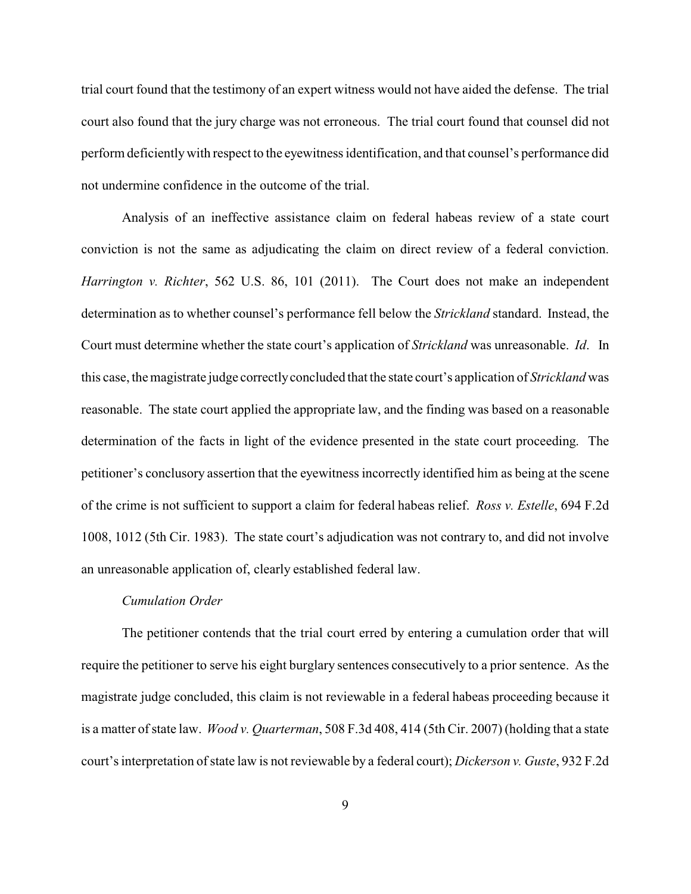trial court found that the testimony of an expert witness would not have aided the defense. The trial court also found that the jury charge was not erroneous. The trial court found that counsel did not perform deficientlywith respect to the eyewitness identification, and that counsel's performance did not undermine confidence in the outcome of the trial.

Analysis of an ineffective assistance claim on federal habeas review of a state court conviction is not the same as adjudicating the claim on direct review of a federal conviction. *Harrington v. Richter*, 562 U.S. 86, 101 (2011). The Court does not make an independent determination as to whether counsel's performance fell below the *Strickland* standard. Instead, the Court must determine whether the state court's application of *Strickland* was unreasonable. *Id*. In this case, the magistrate judge correctlyconcluded that the state court's application of *Strickland* was reasonable. The state court applied the appropriate law, and the finding was based on a reasonable determination of the facts in light of the evidence presented in the state court proceeding. The petitioner's conclusory assertion that the eyewitness incorrectly identified him as being at the scene of the crime is not sufficient to support a claim for federal habeas relief. *Ross v. Estelle*, 694 F.2d 1008, 1012 (5th Cir. 1983). The state court's adjudication was not contrary to, and did not involve an unreasonable application of, clearly established federal law.

### *Cumulation Order*

The petitioner contends that the trial court erred by entering a cumulation order that will require the petitioner to serve his eight burglary sentences consecutively to a prior sentence. As the magistrate judge concluded, this claim is not reviewable in a federal habeas proceeding because it is a matter of state law. *Wood v. Quarterman*, 508 F.3d 408, 414 (5th Cir. 2007) (holding that a state court's interpretation of state law is not reviewable by a federal court); *Dickerson v. Guste*, 932 F.2d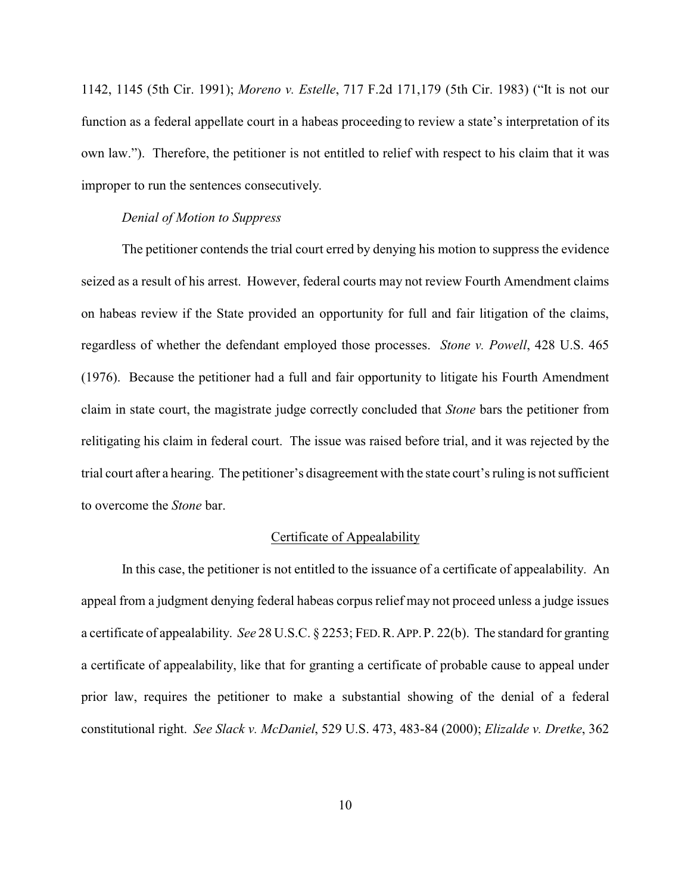1142, 1145 (5th Cir. 1991); *Moreno v. Estelle*, 717 F.2d 171,179 (5th Cir. 1983) ("It is not our function as a federal appellate court in a habeas proceeding to review a state's interpretation of its own law."). Therefore, the petitioner is not entitled to relief with respect to his claim that it was improper to run the sentences consecutively.

# *Denial of Motion to Suppress*

The petitioner contends the trial court erred by denying his motion to suppress the evidence seized as a result of his arrest. However, federal courts may not review Fourth Amendment claims on habeas review if the State provided an opportunity for full and fair litigation of the claims, regardless of whether the defendant employed those processes. *Stone v. Powell*, 428 U.S. 465 (1976). Because the petitioner had a full and fair opportunity to litigate his Fourth Amendment claim in state court, the magistrate judge correctly concluded that *Stone* bars the petitioner from relitigating his claim in federal court. The issue was raised before trial, and it was rejected by the trial court after a hearing. The petitioner's disagreement with the state court's ruling is not sufficient to overcome the *Stone* bar.

# Certificate of Appealability

In this case, the petitioner is not entitled to the issuance of a certificate of appealability. An appeal from a judgment denying federal habeas corpus relief may not proceed unless a judge issues a certificate of appealability. *See* 28 U.S.C. § 2253; FED.R.APP.P. 22(b). The standard for granting a certificate of appealability, like that for granting a certificate of probable cause to appeal under prior law, requires the petitioner to make a substantial showing of the denial of a federal constitutional right. *See Slack v. McDaniel*, 529 U.S. 473, 483-84 (2000); *Elizalde v. Dretke*, 362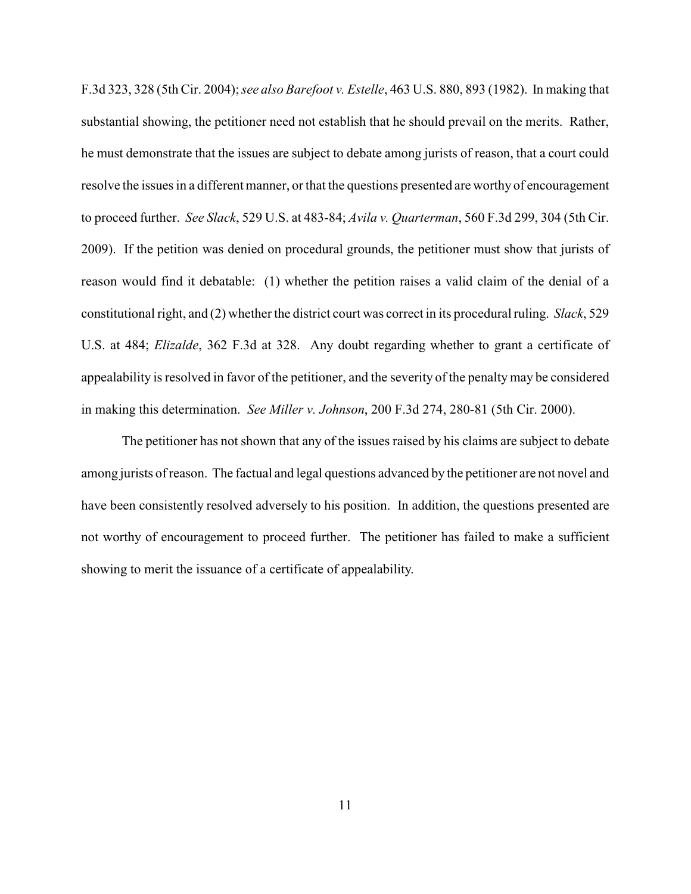F.3d 323, 328 (5th Cir. 2004); *see also Barefoot v. Estelle*, 463 U.S. 880, 893 (1982). In making that substantial showing, the petitioner need not establish that he should prevail on the merits. Rather, he must demonstrate that the issues are subject to debate among jurists of reason, that a court could resolve the issues in a different manner, or that the questions presented are worthy of encouragement to proceed further. *See Slack*, 529 U.S. at 483-84; *Avila v. Quarterman*, 560 F.3d 299, 304 (5th Cir. 2009). If the petition was denied on procedural grounds, the petitioner must show that jurists of reason would find it debatable: (1) whether the petition raises a valid claim of the denial of a constitutional right, and (2) whether the district court was correct in its procedural ruling. *Slack*, 529 U.S. at 484; *Elizalde*, 362 F.3d at 328. Any doubt regarding whether to grant a certificate of appealability is resolved in favor of the petitioner, and the severity of the penalty may be considered in making this determination. *See Miller v. Johnson*, 200 F.3d 274, 280-81 (5th Cir. 2000).

The petitioner has not shown that any of the issues raised by his claims are subject to debate among jurists of reason. The factual and legal questions advanced by the petitioner are not novel and have been consistently resolved adversely to his position. In addition, the questions presented are not worthy of encouragement to proceed further. The petitioner has failed to make a sufficient showing to merit the issuance of a certificate of appealability.